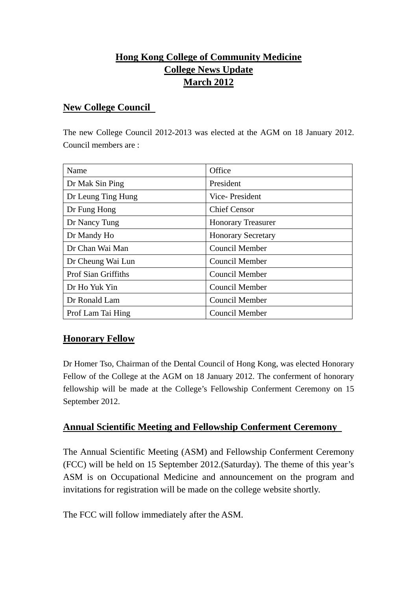# **Hong Kong College of Community Medicine College News Update March 2012**

#### **New College Council**

The new College Council 2012-2013 was elected at the AGM on 18 January 2012. Council members are :

| Name                       | Office                    |
|----------------------------|---------------------------|
| Dr Mak Sin Ping            | President                 |
| Dr Leung Ting Hung         | Vice-President            |
| Dr Fung Hong               | <b>Chief Censor</b>       |
| Dr Nancy Tung              | <b>Honorary Treasurer</b> |
| Dr Mandy Ho                | <b>Honorary Secretary</b> |
| Dr Chan Wai Man            | <b>Council Member</b>     |
| Dr Cheung Wai Lun          | <b>Council Member</b>     |
| <b>Prof Sian Griffiths</b> | <b>Council Member</b>     |
| Dr Ho Yuk Yin              | <b>Council Member</b>     |
| Dr Ronald Lam              | Council Member            |
| Prof Lam Tai Hing          | <b>Council Member</b>     |

#### **Honorary Fellow**

Dr Homer Tso, Chairman of the Dental Council of Hong Kong, was elected Honorary Fellow of the College at the AGM on 18 January 2012. The conferment of honorary fellowship will be made at the College's Fellowship Conferment Ceremony on 15 September 2012.

#### **Annual Scientific Meeting and Fellowship Conferment Ceremony**

The Annual Scientific Meeting (ASM) and Fellowship Conferment Ceremony (FCC) will be held on 15 September 2012.(Saturday). The theme of this year's ASM is on Occupational Medicine and announcement on the program and invitations for registration will be made on the college website shortly.

The FCC will follow immediately after the ASM.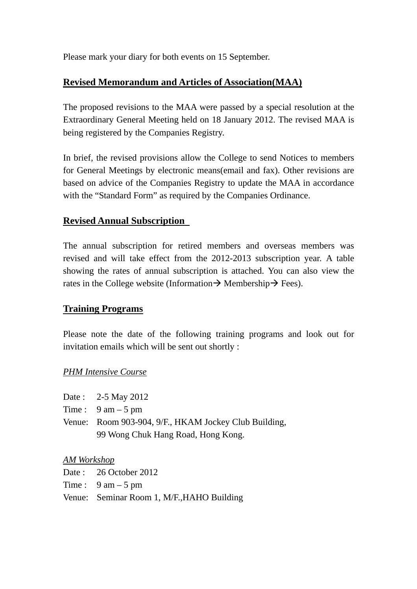Please mark your diary for both events on 15 September.

### **Revised Memorandum and Articles of Association(MAA)**

The proposed revisions to the MAA were passed by a special resolution at the Extraordinary General Meeting held on 18 January 2012. The revised MAA is being registered by the Companies Registry.

In brief, the revised provisions allow the College to send Notices to members for General Meetings by electronic means(email and fax). Other revisions are based on advice of the Companies Registry to update the MAA in accordance with the "Standard Form" as required by the Companies Ordinance.

## **Revised Annual Subscription**

The annual subscription for retired members and overseas members was revised and will take effect from the 2012-2013 subscription year. A table showing the rates of annual subscription is attached. You can also view the rates in the College website (Information  $\rightarrow$  Membership  $\rightarrow$  Fees).

#### **Training Programs**

Please note the date of the following training programs and look out for invitation emails which will be sent out shortly :

#### *PHM Intensive Course*

| Date: $2-5$ May 2012                                  |
|-------------------------------------------------------|
| Time: $9 \text{ am} - 5 \text{ pm}$                   |
| Venue: Room 903-904, 9/F., HKAM Jockey Club Building, |
| 99 Wong Chuk Hang Road, Hong Kong.                    |

#### *AM Workshop*

Date : 26 October 2012 Time :  $9 \text{ am} - 5 \text{ pm}$ Venue: Seminar Room 1, M/F.,HAHO Building